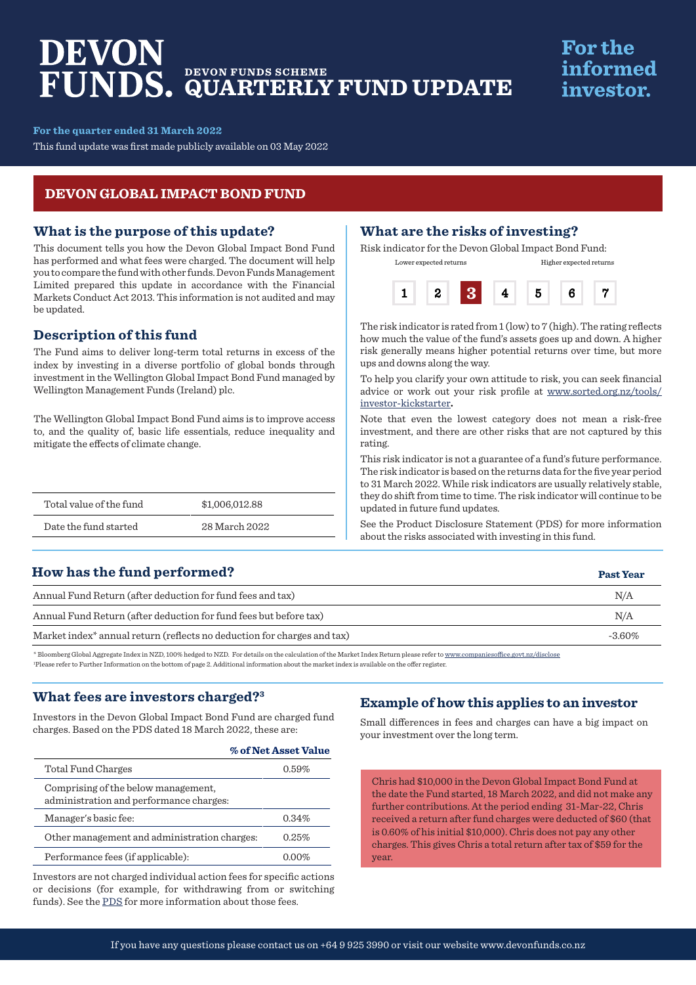# DEVON **DEVON FUNDS SCHEME QUARTERLY FUND UPDATE**

## **For the** informed investor.

**Past Year**

**For the quarter ended 31 March 2022**

This fund update was first made publicly available on 03 May 2022

#### **DEVON GLOBAL IMPACT BOND FUND**

#### **What is the purpose of this update?**

This document tells you how the Devon Global Impact Bond Fund has performed and what fees were charged. The document will help you to compare the fund with other funds. Devon Funds Management Limited prepared this update in accordance with the Financial Markets Conduct Act 2013. This information is not audited and may be updated.

#### **Description of this fund**

The Fund aims to deliver long-term total returns in excess of the index by investing in a diverse portfolio of global bonds through investment in the Wellington Global Impact Bond Fund managed by Wellington Management Funds (Ireland) plc.

The Wellington Global Impact Bond Fund aims is to improve access to, and the quality of, basic life essentials, reduce inequality and mitigate the effects of climate change.

| Total value of the fund | \$1,006,012.88 |
|-------------------------|----------------|
| Date the fund started   | 28 March 2022  |

#### **What are the risks of investing?**

Risk indicator for the Devon Global Impact Bond Fund: Lower expected returns Higher expected returns



The risk indicator is rated from 1 (low) to 7 (high). The rating reflects how much the value of the fund's assets goes up and down. A higher risk generally means higher potential returns over time, but more ups and downs along the way.

To help you clarify your own attitude to risk, you can seek financial advice or work out your risk profile at [www.sorted.org.nz/tools/](http://www.sorted.org.nz/tools/investor-kickstarter) [investor-kickstarter](http://www.sorted.org.nz/tools/investor-kickstarter)**.**

Note that even the lowest category does not mean a risk-free investment, and there are other risks that are not captured by this rating.

This risk indicator is not a guarantee of a fund's future performance. The risk indicator is based on the returns data for the five year period to 31 March 2022. While risk indicators are usually relatively stable, they do shift from time to time. The risk indicator will continue to be updated in future fund updates.

See the Product Disclosure Statement (PDS) for more information about the risks associated with investing in this fund.

#### **How has the fund performed?**

| Annual Fund Return (after deduction for fund fees and tax)                                                                                                                    | N/A       |
|-------------------------------------------------------------------------------------------------------------------------------------------------------------------------------|-----------|
| Annual Fund Return (after deduction for fund fees but before tax)                                                                                                             | N/A       |
| Market index <sup>*</sup> annual return (reflects no deduction for charges and tax)                                                                                           | $-3.60\%$ |
| * Bloomberg Global Aggregate Index in NZD, 100% hedged to NZD. For details on the calculation of the Market Index Return please refer to www.companiesoffice.govt.nz/disclose |           |

1 Please refer to Further Information on the bottom of page 2. Additional information about the market index is available on the offer register.

#### **What fees are investors charged?3**

Investors in the Devon Global Impact Bond Fund are charged fund charges. Based on the PDS dated 18 March 2022, these are:

|                                                                                | % of Net Asset Value |
|--------------------------------------------------------------------------------|----------------------|
| Total Fund Charges                                                             | 0.59%                |
| Comprising of the below management.<br>administration and performance charges: |                      |
| Manager's basic fee:                                                           | $0.34\%$             |
| Other management and administration charges:                                   | 0.25%                |
| Performance fees (if applicable):                                              | $0.00\%$             |

Investors are not charged individual action fees for specific actions or decisions (for example, for withdrawing from or switching funds). See the [PDS](https://devonfunds.co.nz/sites/default/files/Devon%20Investment%20Funds%20Product%20Disclosure%20Statement.pdf) for more information about those fees.

#### **Example of how this applies to an investor**

Small differences in fees and charges can have a big impact on your investment over the long term.

Chris had \$10,000 in the Devon Global Impact Bond Fund at the date the Fund started, 18 March 2022, and did not make any further contributions. At the period ending 31-Mar-22, Chris received a return after fund charges were deducted of \$60 (that is 0.60% of his initial \$10,000). Chris does not pay any other charges. This gives Chris a total return after tax of \$59 for the year.